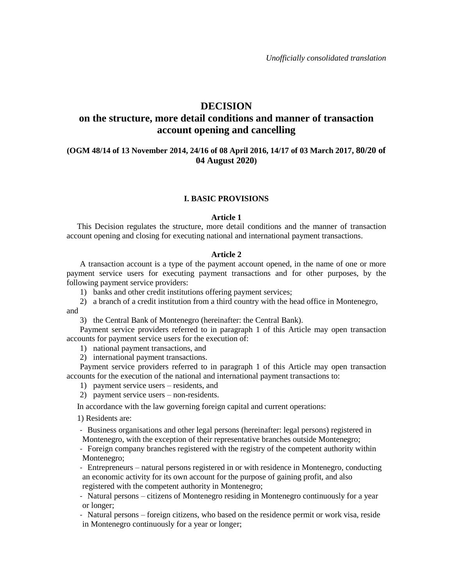## **DECISION**

# **on the structure, more detail conditions and manner of transaction account opening and cancelling**

### **(OGM 48/14 of 13 November 2014, 24/16 of 08 April 2016, 14/17 of 03 March 2017, 80/20 of 04 August 2020)**

#### **I. BASIC PROVISIONS**

#### **Article 1**

This Decision regulates the structure, more detail conditions and the manner of transaction account opening and closing for executing national and international payment transactions.

#### **Article 2**

A transaction account is a type of the payment account opened, in the name of one or more payment service users for executing payment transactions and for other purposes, by the following payment service providers:

1) banks and other credit institutions offering payment services;

2) a branch of a credit institution from a third country with the head office in Montenegro, and

3) the Central Bank of Montenegro (hereinafter: the Central Bank).

Payment service providers referred to in paragraph 1 of this Article may open transaction accounts for payment service users for the execution of:

1) national payment transactions, and

2) international payment transactions.

Payment service providers referred to in paragraph 1 of this Article may open transaction accounts for the execution of the national and international payment transactions to:

1) payment service users – residents, and

2) payment service users – non-residents.

In accordance with the law governing foreign capital and current operations:

1) Residents are:

- Business organisations and other legal persons (hereinafter: legal persons) registered in Montenegro, with the exception of their representative branches outside Montenegro;

- Foreign company branches registered with the registry of the competent authority within Montenegro;

- Entrepreneurs – natural persons registered in or with residence in Montenegro, conducting an economic activity for its own account for the purpose of gaining profit, and also registered with the competent authority in Montenegro;

- Natural persons – citizens of Montenegro residing in Montenegro continuously for a year or longer;

- Natural persons – foreign citizens, who based on the residence permit or work visa, reside in Montenegro continuously for a year or longer;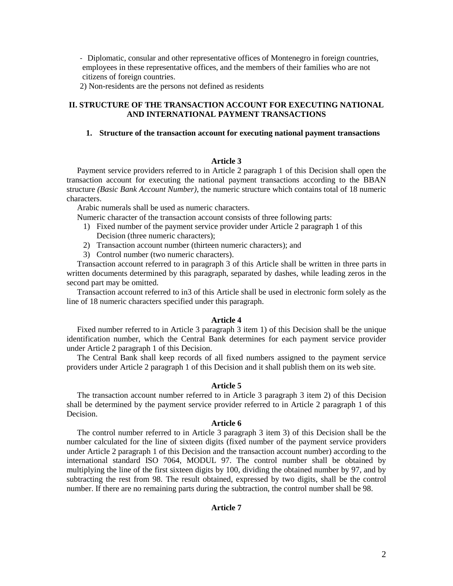- Diplomatic, consular and other representative offices of Montenegro in foreign countries, employees in these representative offices, and the members of their families who are not citizens of foreign countries.

2) Non-residents are the persons not defined as residents

### **II. STRUCTURE OF THE TRANSACTION ACCOUNT FOR EXECUTING NATIONAL AND INTERNATIONAL PAYMENT TRANSACTIONS**

#### **1. Structure of the transaction account for executing national payment transactions**

#### **Article 3**

Payment service providers referred to in Article 2 paragraph 1 of this Decision shall open the transaction account for executing the national payment transactions according to the BBAN structure *(Basic Bank Account Number),* the numeric structure which contains total of 18 numeric characters.

Arabic numerals shall be used as numeric characters.

Numeric character of the transaction account consists of three following parts:

- 1) Fixed number of the payment service provider under Article 2 paragraph 1 of this Decision (three numeric characters);
- 2) Transaction account number (thirteen numeric characters); and
- 3) Control number (two numeric characters).

Transaction account referred to in paragraph 3 of this Article shall be written in three parts in written documents determined by this paragraph, separated by dashes, while leading zeros in the second part may be omitted.

Transaction account referred to in3 of this Article shall be used in electronic form solely as the line of 18 numeric characters specified under this paragraph.

#### **Article 4**

Fixed number referred to in Article 3 paragraph 3 item 1) of this Decision shall be the unique identification number, which the Central Bank determines for each payment service provider under Article 2 paragraph 1 of this Decision.

The Central Bank shall keep records of all fixed numbers assigned to the payment service providers under Article 2 paragraph 1 of this Decision and it shall publish them on its web site.

### **Article 5**

The transaction account number referred to in Article 3 paragraph 3 item 2) of this Decision shall be determined by the payment service provider referred to in Article 2 paragraph 1 of this Decision.

### **Article 6**

The control number referred to in Article 3 paragraph 3 item 3) of this Decision shall be the number calculated for the line of sixteen digits (fixed number of the payment service providers under Article 2 paragraph 1 of this Decision and the transaction account number) according to the international standard ISO 7064, MODUL 97. The control number shall be obtained by multiplying the line of the first sixteen digits by 100, dividing the obtained number by 97, and by subtracting the rest from 98. The result obtained, expressed by two digits, shall be the control number. If there are no remaining parts during the subtraction, the control number shall be 98.

#### **Article 7**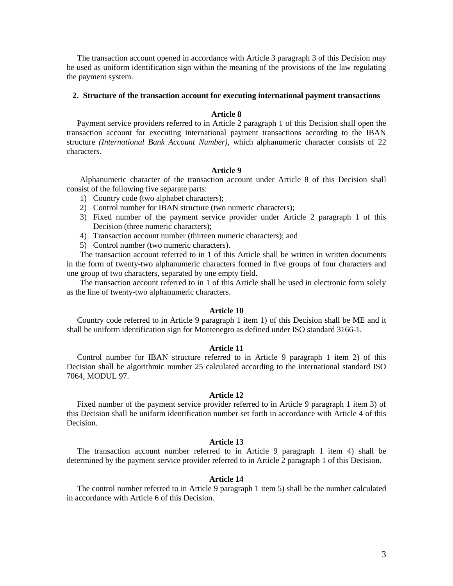The transaction account opened in accordance with Article 3 paragraph 3 of this Decision may be used as uniform identification sign within the meaning of the provisions of the law regulating the payment system.

#### **2. Structure of the transaction account for executing international payment transactions**

### **Article 8**

Payment service providers referred to in Article 2 paragraph 1 of this Decision shall open the transaction account for executing international payment transactions according to the IBAN structure *(International Bank Account Number)*, which alphanumeric character consists of 22 characters*.*

### **Article 9**

Alphanumeric character of the transaction account under Article 8 of this Decision shall consist of the following five separate parts:

- 1) Country code (two alphabet characters);
- 2) Control number for IBAN structure (two numeric characters);
- 3) Fixed number of the payment service provider under Article 2 paragraph 1 of this Decision (three numeric characters);
- 4) Transaction account number (thirteen numeric characters); and
- 5) Control number (two numeric characters).

The transaction account referred to in 1 of this Article shall be written in written documents in the form of twenty-two alphanumeric characters formed in five groups of four characters and one group of two characters, separated by one empty field.

The transaction account referred to in 1 of this Article shall be used in electronic form solely as the line of twenty-two alphanumeric characters.

#### **Article 10**

Country code referred to in Article 9 paragraph 1 item 1) of this Decision shall be ME and it shall be uniform identification sign for Montenegro as defined under ISO standard 3166-1.

#### **Article 11**

Control number for IBAN structure referred to in Article 9 paragraph 1 item 2) of this Decision shall be algorithmic number 25 calculated according to the international standard ISO 7064, MODUL 97.

### **Article 12**

Fixed number of the payment service provider referred to in Article 9 paragraph 1 item 3) of this Decision shall be uniform identification number set forth in accordance with Article 4 of this Decision.

### **Article 13**

The transaction account number referred to in Article 9 paragraph 1 item 4) shall be determined by the payment service provider referred to in Article 2 paragraph 1 of this Decision.

#### **Article 14**

The control number referred to in Article 9 paragraph 1 item 5) shall be the number calculated in accordance with Article 6 of this Decision.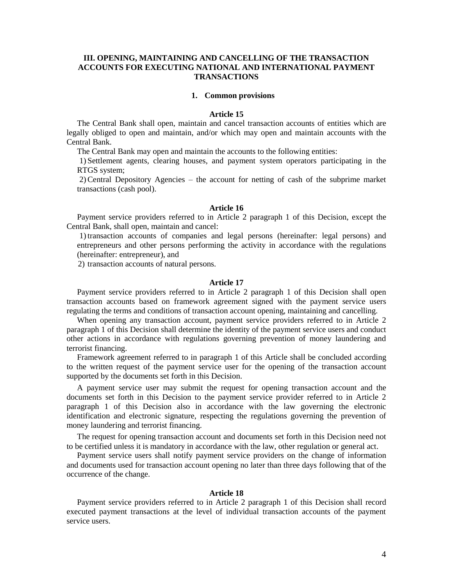### **III. OPENING, MAINTAINING AND CANCELLING OF THE TRANSACTION ACCOUNTS FOR EXECUTING NATIONAL AND INTERNATIONAL PAYMENT TRANSACTIONS**

#### **1. Common provisions**

### **Article 15**

The Central Bank shall open, maintain and cancel transaction accounts of entities which are legally obliged to open and maintain, and/or which may open and maintain accounts with the Central Bank.

The Central Bank may open and maintain the accounts to the following entities:

1) Settlement agents, clearing houses, and payment system operators participating in the RTGS system;

2)Central Depository Agencies – the account for netting of cash of the subprime market transactions (cash pool).

### **Article 16**

Payment service providers referred to in Article 2 paragraph 1 of this Decision, except the Central Bank, shall open, maintain and cancel:

1)transaction accounts of companies and legal persons (hereinafter: legal persons) and entrepreneurs and other persons performing the activity in accordance with the regulations (hereinafter: entrepreneur), and

2) transaction accounts of natural persons.

### **Article 17**

Payment service providers referred to in Article 2 paragraph 1 of this Decision shall open transaction accounts based on framework agreement signed with the payment service users regulating the terms and conditions of transaction account opening, maintaining and cancelling.

When opening any transaction account, payment service providers referred to in Article 2 paragraph 1 of this Decision shall determine the identity of the payment service users and conduct other actions in accordance with regulations governing prevention of money laundering and terrorist financing.

Framework agreement referred to in paragraph 1 of this Article shall be concluded according to the written request of the payment service user for the opening of the transaction account supported by the documents set forth in this Decision.

A payment service user may submit the request for opening transaction account and the documents set forth in this Decision to the payment service provider referred to in Article 2 paragraph 1 of this Decision also in accordance with the law governing the electronic identification and electronic signature, respecting the regulations governing the prevention of money laundering and terrorist financing.

The request for opening transaction account and documents set forth in this Decision need not to be certified unless it is mandatory in accordance with the law, other regulation or general act.

Payment service users shall notify payment service providers on the change of information and documents used for transaction account opening no later than three days following that of the occurrence of the change.

#### **Article 18**

Payment service providers referred to in Article 2 paragraph 1 of this Decision shall record executed payment transactions at the level of individual transaction accounts of the payment service users.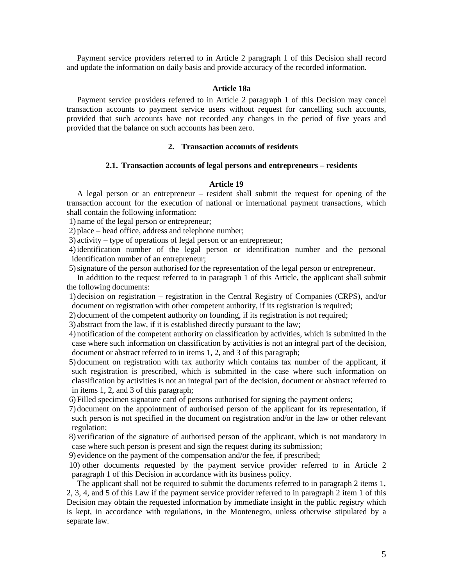Payment service providers referred to in Article 2 paragraph 1 of this Decision shall record and update the information on daily basis and provide accuracy of the recorded information.

#### **Article 18a**

Payment service providers referred to in Article 2 paragraph 1 of this Decision may cancel transaction accounts to payment service users without request for cancelling such accounts, provided that such accounts have not recorded any changes in the period of five years and provided that the balance on such accounts has been zero.

#### **2. Transaction accounts of residents**

#### **2.1. Transaction accounts of legal persons and entrepreneurs – residents**

### **Article 19**

A legal person or an entrepreneur – resident shall submit the request for opening of the transaction account for the execution of national or international payment transactions, which shall contain the following information:

1) name of the legal person or entrepreneur;

2) place – head office, address and telephone number;

3) activity – type of operations of legal person or an entrepreneur;

4)identification number of the legal person or identification number and the personal identification number of an entrepreneur;

5)signature of the person authorised for the representation of the legal person or entrepreneur.

In addition to the request referred to in paragraph 1 of this Article, the applicant shall submit the following documents:

1) decision on registration – registration in the Central Registry of Companies (CRPS), and/or document on registration with other competent authority, if its registration is required;

2) document of the competent authority on founding, if its registration is not required;

3) abstract from the law, if it is established directly pursuant to the law;

4) notification of the competent authority on classification by activities, which is submitted in the case where such information on classification by activities is not an integral part of the decision, document or abstract referred to in items 1, 2, and 3 of this paragraph;

5) document on registration with tax authority which contains tax number of the applicant, if such registration is prescribed, which is submitted in the case where such information on classification by activities is not an integral part of the decision, document or abstract referred to in items 1, 2, and 3 of this paragraph;

6) Filled specimen signature card of persons authorised for signing the payment orders;

7) document on the appointment of authorised person of the applicant for its representation, if such person is not specified in the document on registration and/or in the law or other relevant regulation;

8) verification of the signature of authorised person of the applicant, which is not mandatory in case where such person is present and sign the request during its submission;

9) evidence on the payment of the compensation and/or the fee, if prescribed;

10) other documents requested by the payment service provider referred to in Article 2 paragraph 1 of this Decision in accordance with its business policy.

The applicant shall not be required to submit the documents referred to in paragraph 2 items 1, 2, 3, 4, and 5 of this Law if the payment service provider referred to in paragraph 2 item 1 of this Decision may obtain the requested information by immediate insight in the public registry which is kept, in accordance with regulations, in the Montenegro, unless otherwise stipulated by a separate law.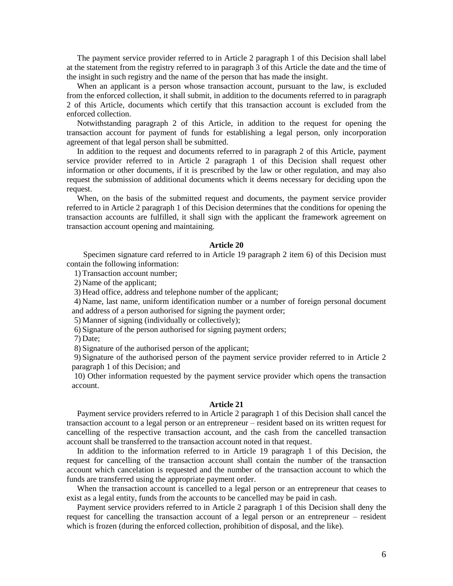The payment service provider referred to in Article 2 paragraph 1 of this Decision shall label at the statement from the registry referred to in paragraph 3 of this Article the date and the time of the insight in such registry and the name of the person that has made the insight.

When an applicant is a person whose transaction account, pursuant to the law, is excluded from the enforced collection, it shall submit, in addition to the documents referred to in paragraph 2 of this Article, documents which certify that this transaction account is excluded from the enforced collection.

Notwithstanding paragraph 2 of this Article, in addition to the request for opening the transaction account for payment of funds for establishing a legal person, only incorporation agreement of that legal person shall be submitted.

In addition to the request and documents referred to in paragraph 2 of this Article, payment service provider referred to in Article 2 paragraph 1 of this Decision shall request other information or other documents, if it is prescribed by the law or other regulation, and may also request the submission of additional documents which it deems necessary for deciding upon the request.

When, on the basis of the submitted request and documents, the payment service provider referred to in Article 2 paragraph 1 of this Decision determines that the conditions for opening the transaction accounts are fulfilled, it shall sign with the applicant the framework agreement on transaction account opening and maintaining.

### **Article 20**

Specimen signature card referred to in Article 19 paragraph 2 item 6) of this Decision must contain the following information:

1) Transaction account number;

2) Name of the applicant;

3) Head office, address and telephone number of the applicant;

4) Name, last name, uniform identification number or a number of foreign personal document and address of a person authorised for signing the payment order;

5) Manner of signing (individually or collectively);

6) Signature of the person authorised for signing payment orders;

7) Date;

8) Signature of the authorised person of the applicant;

9) Signature of the authorised person of the payment service provider referred to in Article 2 paragraph 1 of this Decision; and

10) Other information requested by the payment service provider which opens the transaction account.

### **Article 21**

Payment service providers referred to in Article 2 paragraph 1 of this Decision shall cancel the transaction account to a legal person or an entrepreneur – resident based on its written request for cancelling of the respective transaction account, and the cash from the cancelled transaction account shall be transferred to the transaction account noted in that request.

In addition to the information referred to in Article 19 paragraph 1 of this Decision, the request for cancelling of the transaction account shall contain the number of the transaction account which cancelation is requested and the number of the transaction account to which the funds are transferred using the appropriate payment order.

When the transaction account is cancelled to a legal person or an entrepreneur that ceases to exist as a legal entity, funds from the accounts to be cancelled may be paid in cash.

Payment service providers referred to in Article 2 paragraph 1 of this Decision shall deny the request for cancelling the transaction account of a legal person or an entrepreneur – resident which is frozen (during the enforced collection, prohibition of disposal, and the like).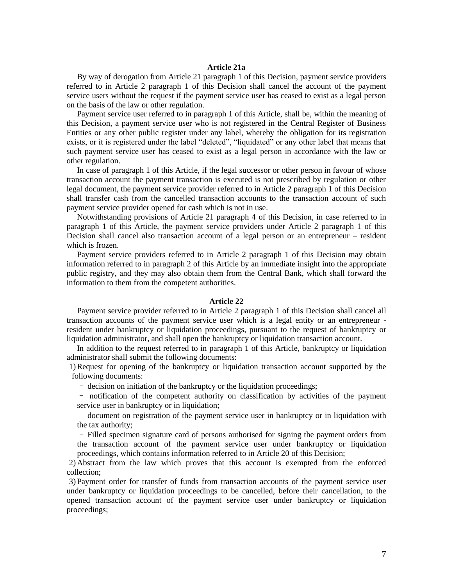### **Article 21a**

By way of derogation from Article 21 paragraph 1 of this Decision, payment service providers referred to in Article 2 paragraph 1 of this Decision shall cancel the account of the payment service users without the request if the payment service user has ceased to exist as a legal person on the basis of the law or other regulation.

Payment service user referred to in paragraph 1 of this Article, shall be, within the meaning of this Decision, a payment service user who is not registered in the Central Register of Business Entities or any other public register under any label, whereby the obligation for its registration exists, or it is registered under the label "deleted", "liquidated" or any other label that means that such payment service user has ceased to exist as a legal person in accordance with the law or other regulation.

In case of paragraph 1 of this Article, if the legal successor or other person in favour of whose transaction account the payment transaction is executed is not prescribed by regulation or other legal document, the payment service provider referred to in Article 2 paragraph 1 of this Decision shall transfer cash from the cancelled transaction accounts to the transaction account of such payment service provider opened for cash which is not in use.

Notwithstanding provisions of Article 21 paragraph 4 of this Decision, in case referred to in paragraph 1 of this Article, the payment service providers under Article 2 paragraph 1 of this Decision shall cancel also transaction account of a legal person or an entrepreneur – resident which is frozen.

Payment service providers referred to in Article 2 paragraph 1 of this Decision may obtain information referred to in paragraph 2 of this Article by an immediate insight into the appropriate public registry, and they may also obtain them from the Central Bank, which shall forward the information to them from the competent authorities.

#### **Article 22**

Payment service provider referred to in Article 2 paragraph 1 of this Decision shall cancel all transaction accounts of the payment service user which is a legal entity or an entrepreneur resident under bankruptcy or liquidation proceedings, pursuant to the request of bankruptcy or liquidation administrator, and shall open the bankruptcy or liquidation transaction account.

In addition to the request referred to in paragraph 1 of this Article, bankruptcy or liquidation administrator shall submit the following documents:

1)Request for opening of the bankruptcy or liquidation transaction account supported by the following documents:

- decision on initiation of the bankruptcy or the liquidation proceedings;

- notification of the competent authority on classification by activities of the payment service user in bankruptcy or in liquidation;

- document on registration of the payment service user in bankruptcy or in liquidation with the tax authority;

- Filled specimen signature card of persons authorised for signing the payment orders from the transaction account of the payment service user under bankruptcy or liquidation proceedings, which contains information referred to in Article 20 of this Decision;

2) Abstract from the law which proves that this account is exempted from the enforced collection;

3) Payment order for transfer of funds from transaction accounts of the payment service user under bankruptcy or liquidation proceedings to be cancelled, before their cancellation, to the opened transaction account of the payment service user under bankruptcy or liquidation proceedings;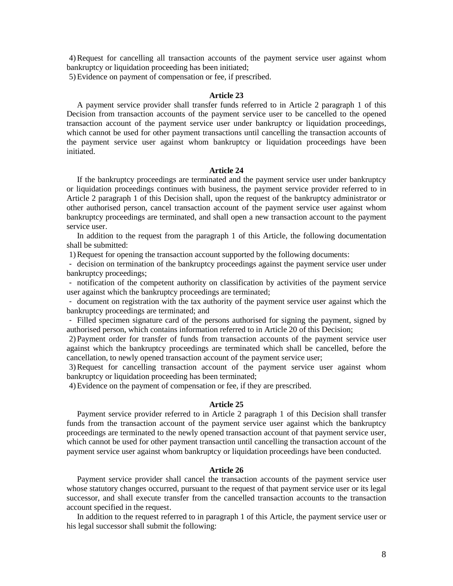4)Request for cancelling all transaction accounts of the payment service user against whom bankruptcy or liquidation proceeding has been initiated;

5)Evidence on payment of compensation or fee, if prescribed.

### **Article 23**

A payment service provider shall transfer funds referred to in Article 2 paragraph 1 of this Decision from transaction accounts of the payment service user to be cancelled to the opened transaction account of the payment service user under bankruptcy or liquidation proceedings, which cannot be used for other payment transactions until cancelling the transaction accounts of the payment service user against whom bankruptcy or liquidation proceedings have been initiated.

### **Article 24**

If the bankruptcy proceedings are terminated and the payment service user under bankruptcy or liquidation proceedings continues with business, the payment service provider referred to in Article 2 paragraph 1 of this Decision shall, upon the request of the bankruptcy administrator or other authorised person, cancel transaction account of the payment service user against whom bankruptcy proceedings are terminated, and shall open a new transaction account to the payment service user.

In addition to the request from the paragraph 1 of this Article, the following documentation shall be submitted:

1)Request for opening the transaction account supported by the following documents:

- decision on termination of the bankruptcy proceedings against the payment service user under bankruptcy proceedings;

- notification of the competent authority on classification by activities of the payment service user against which the bankruptcy proceedings are terminated;

- document on registration with the tax authority of the payment service user against which the bankruptcy proceedings are terminated; and

- Filled specimen signature card of the persons authorised for signing the payment, signed by authorised person, which contains information referred to in Article 20 of this Decision;

2) Payment order for transfer of funds from transaction accounts of the payment service user against which the bankruptcy proceedings are terminated which shall be cancelled, before the cancellation, to newly opened transaction account of the payment service user;

3)Request for cancelling transaction account of the payment service user against whom bankruptcy or liquidation proceeding has been terminated;

4)Evidence on the payment of compensation or fee, if they are prescribed.

#### **Article 25**

Payment service provider referred to in Article 2 paragraph 1 of this Decision shall transfer funds from the transaction account of the payment service user against which the bankruptcy proceedings are terminated to the newly opened transaction account of that payment service user, which cannot be used for other payment transaction until cancelling the transaction account of the payment service user against whom bankruptcy or liquidation proceedings have been conducted.

### **Article 26**

Payment service provider shall cancel the transaction accounts of the payment service user whose statutory changes occurred, pursuant to the request of that payment service user or its legal successor, and shall execute transfer from the cancelled transaction accounts to the transaction account specified in the request.

In addition to the request referred to in paragraph 1 of this Article, the payment service user or his legal successor shall submit the following: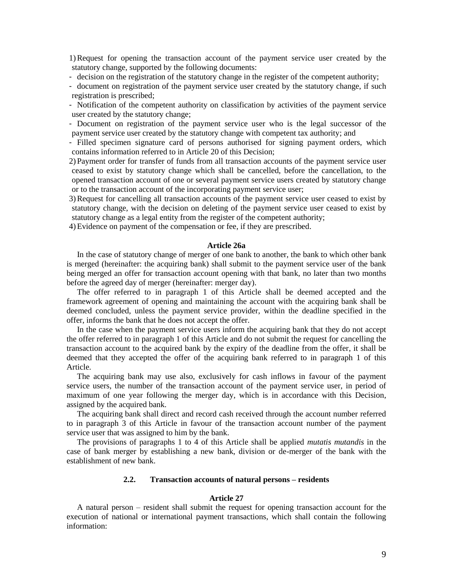1)Request for opening the transaction account of the payment service user created by the statutory change, supported by the following documents:

- decision on the registration of the statutory change in the register of the competent authority;
- document on registration of the payment service user created by the statutory change, if such registration is prescribed;
- Notification of the competent authority on classification by activities of the payment service user created by the statutory change;

- Document on registration of the payment service user who is the legal successor of the payment service user created by the statutory change with competent tax authority; and

- Filled specimen signature card of persons authorised for signing payment orders, which contains information referred to in Article 20 of this Decision;

2) Payment order for transfer of funds from all transaction accounts of the payment service user ceased to exist by statutory change which shall be cancelled, before the cancellation, to the opened transaction account of one or several payment service users created by statutory change or to the transaction account of the incorporating payment service user;

3)Request for cancelling all transaction accounts of the payment service user ceased to exist by statutory change, with the decision on deleting of the payment service user ceased to exist by statutory change as a legal entity from the register of the competent authority;

4)Evidence on payment of the compensation or fee, if they are prescribed.

### **Article 26a**

In the case of statutory change of merger of one bank to another, the bank to which other bank is merged (hereinafter: the acquiring bank) shall submit to the payment service user of the bank being merged an offer for transaction account opening with that bank, no later than two months before the agreed day of merger (hereinafter: merger day).

The offer referred to in paragraph 1 of this Article shall be deemed accepted and the framework agreement of opening and maintaining the account with the acquiring bank shall be deemed concluded, unless the payment service provider, within the deadline specified in the offer, informs the bank that he does not accept the offer.

In the case when the payment service users inform the acquiring bank that they do not accept the offer referred to in paragraph 1 of this Article and do not submit the request for cancelling the transaction account to the acquired bank by the expiry of the deadline from the offer, it shall be deemed that they accepted the offer of the acquiring bank referred to in paragraph 1 of this Article.

The acquiring bank may use also, exclusively for cash inflows in favour of the payment service users, the number of the transaction account of the payment service user, in period of maximum of one year following the merger day, which is in accordance with this Decision, assigned by the acquired bank.

The acquiring bank shall direct and record cash received through the account number referred to in paragraph 3 of this Article in favour of the transaction account number of the payment service user that was assigned to him by the bank.

The provisions of paragraphs 1 to 4 of this Article shall be applied *mutatis mutandis* in the case of bank merger by establishing a new bank, division or de-merger of the bank with the establishment of new bank.

### **2.2. Transaction accounts of natural persons – residents**

#### **Article 27**

A natural person – resident shall submit the request for opening transaction account for the execution of national or international payment transactions, which shall contain the following information: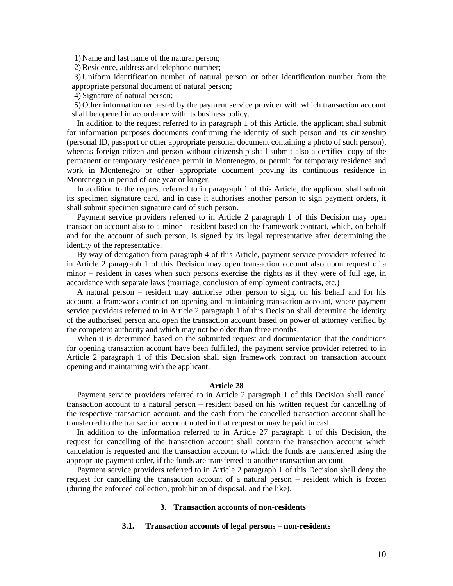1) Name and last name of the natural person;

2) Residence, address and telephone number;

3) Uniform identification number of natural person or other identification number from the appropriate personal document of natural person;

4) Signature of natural person;

5) Other information requested by the payment service provider with which transaction account shall be opened in accordance with its business policy.

In addition to the request referred to in paragraph 1 of this Article, the applicant shall submit for information purposes documents confirming the identity of such person and its citizenship (personal ID, passport or other appropriate personal document containing a photo of such person), whereas foreign citizen and person without citizenship shall submit also a certified copy of the permanent or temporary residence permit in Montenegro, or permit for temporary residence and work in Montenegro or other appropriate document proving its continuous residence in Montenegro in period of one year or longer.

In addition to the request referred to in paragraph 1 of this Article, the applicant shall submit its specimen signature card, and in case it authorises another person to sign payment orders, it shall submit specimen signature card of such person.

Payment service providers referred to in Article 2 paragraph 1 of this Decision may open transaction account also to a minor – resident based on the framework contract, which, on behalf and for the account of such person, is signed by its legal representative after determining the identity of the representative.

By way of derogation from paragraph 4 of this Article, payment service providers referred to in Article 2 paragraph 1 of this Decision may open transaction account also upon request of a minor – resident in cases when such persons exercise the rights as if they were of full age, in accordance with separate laws (marriage, conclusion of employment contracts, etc.)

A natural person – resident may authorise other person to sign, on his behalf and for his account, a framework contract on opening and maintaining transaction account, where payment service providers referred to in Article 2 paragraph 1 of this Decision shall determine the identity of the authorised person and open the transaction account based on power of attorney verified by the competent authority and which may not be older than three months.

When it is determined based on the submitted request and documentation that the conditions for opening transaction account have been fulfilled, the payment service provider referred to in Article 2 paragraph 1 of this Decision shall sign framework contract on transaction account opening and maintaining with the applicant.

#### **Article 28**

Payment service providers referred to in Article 2 paragraph 1 of this Decision shall cancel transaction account to a natural person – resident based on his written request for cancelling of the respective transaction account, and the cash from the cancelled transaction account shall be transferred to the transaction account noted in that request or may be paid in cash.

In addition to the information referred to in Article 27 paragraph 1 of this Decision, the request for cancelling of the transaction account shall contain the transaction account which cancelation is requested and the transaction account to which the funds are transferred using the appropriate payment order, if the funds are transferred to another transaction account.

Payment service providers referred to in Article 2 paragraph 1 of this Decision shall deny the request for cancelling the transaction account of a natural person – resident which is frozen (during the enforced collection, prohibition of disposal, and the like).

#### **3. Transaction accounts of non-residents**

#### **3.1. Transaction accounts of legal persons – non-residents**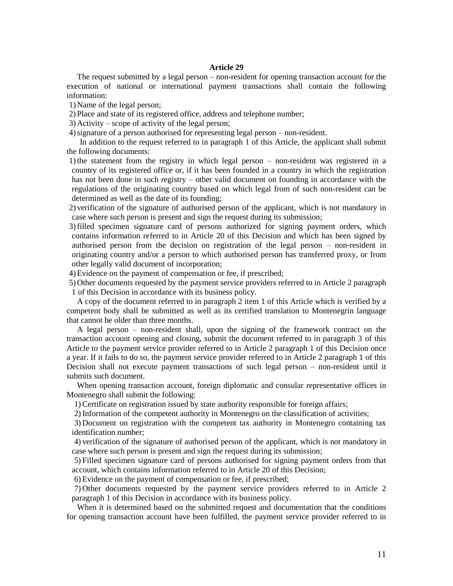### **Article 29**

The request submitted by a legal person – non-resident for opening transaction account for the execution of national or international payment transactions shall contain the following information:

1) Name of the legal person;

2) Place and state of its registered office, address and telephone number;

3) Activity – scope of activity of the legal person;

4)signature of a person authorised for representing legal person – non-resident.

In addition to the request referred to in paragraph 1 of this Article, the applicant shall submit the following documents:

1)the statement from the registry in which legal person – non-resident was registered in a country of its registered office or, if it has been founded in a country in which the registration has not been done in such registry – other valid document on founding in accordance with the regulations of the originating country based on which legal from of such non-resident can be determined as well as the date of its founding;

2) verification of the signature of authorised person of the applicant, which is not mandatory in case where such person is present and sign the request during its submission;

3)filled specimen signature card of persons authorized for signing payment orders, which contains information referred to in Article 20 of this Decision and which has been signed by authorised person from the decision on registration of the legal person – non-resident in originating country and/or a person to which authorised person has transferred proxy, or from other legally valid document of incorporation;

4)Evidence on the payment of compensation or fee, if prescribed;

5) Other documents requested by the payment service providers referred to in Article 2 paragraph 1 of this Decision in accordance with its business policy.

A copy of the document referred to in paragraph 2 item 1 of this Article which is verified by a competent body shall be submitted as well as its certified translation to Montenegrin language that cannot be older than three months.

A legal person – non-resident shall, upon the signing of the framework contract on the transaction account opening and closing, submit the document referred to in paragraph 3 of this Article to the payment service provider referred to in Article 2 paragraph 1 of this Decision once a year. If it fails to do so, the payment service provider referred to in Article 2 paragraph 1 of this Decision shall not execute payment transactions of such legal person – non-resident until it submits such document.

When opening transaction account, foreign diplomatic and consular representative offices in Montenegro shall submit the following:

1) Certificate on registration issued by state authority responsible for foreign affairs;

2) Information of the competent authority in Montenegro on the classification of activities;

3) Document on registration with the competent tax authority in Montenegro containing tax identification number;

4) verification of the signature of authorised person of the applicant, which is not mandatory in case where such person is present and sign the request during its submission;

5) Filled specimen signature card of persons authorised for signing payment orders from that account, which contains information referred to in Article 20 of this Decision;

6) Evidence on the payment of compensation or fee, if prescribed;

7) Other documents requested by the payment service providers referred to in Article 2 paragraph 1 of this Decision in accordance with its business policy.

When it is determined based on the submitted request and documentation that the conditions for opening transaction account have been fulfilled, the payment service provider referred to in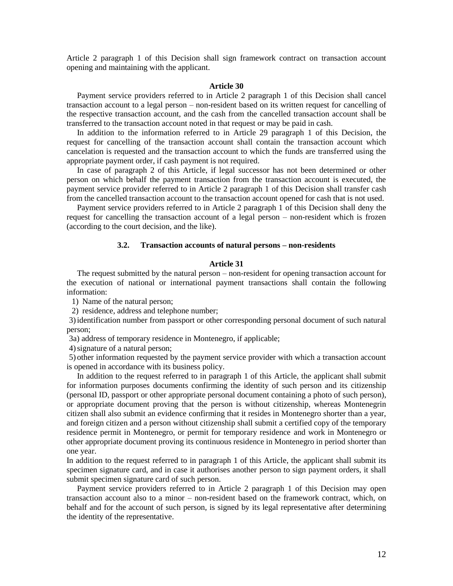Article 2 paragraph 1 of this Decision shall sign framework contract on transaction account opening and maintaining with the applicant.

### **Article 30**

Payment service providers referred to in Article 2 paragraph 1 of this Decision shall cancel transaction account to a legal person – non-resident based on its written request for cancelling of the respective transaction account, and the cash from the cancelled transaction account shall be transferred to the transaction account noted in that request or may be paid in cash.

In addition to the information referred to in Article 29 paragraph 1 of this Decision, the request for cancelling of the transaction account shall contain the transaction account which cancelation is requested and the transaction account to which the funds are transferred using the appropriate payment order, if cash payment is not required.

In case of paragraph 2 of this Article, if legal successor has not been determined or other person on which behalf the payment transaction from the transaction account is executed, the payment service provider referred to in Article 2 paragraph 1 of this Decision shall transfer cash from the cancelled transaction account to the transaction account opened for cash that is not used.

Payment service providers referred to in Article 2 paragraph 1 of this Decision shall deny the request for cancelling the transaction account of a legal person – non-resident which is frozen (according to the court decision, and the like).

### **3.2. Transaction accounts of natural persons – non-residents**

### **Article 31**

The request submitted by the natural person – non-resident for opening transaction account for the execution of national or international payment transactions shall contain the following information:

1) Name of the natural person;

2) residence, address and telephone number;

3)identification number from passport or other corresponding personal document of such natural person;

3a) address of temporary residence in Montenegro, if applicable;

4)signature of a natural person;

5) other information requested by the payment service provider with which a transaction account is opened in accordance with its business policy.

In addition to the request referred to in paragraph 1 of this Article, the applicant shall submit for information purposes documents confirming the identity of such person and its citizenship (personal ID, passport or other appropriate personal document containing a photo of such person), or appropriate document proving that the person is without citizenship, whereas Montenegrin citizen shall also submit an evidence confirming that it resides in Montenegro shorter than a year, and foreign citizen and a person without citizenship shall submit a certified copy of the temporary residence permit in Montenegro, or permit for temporary residence and work in Montenegro or other appropriate document proving its continuous residence in Montenegro in period shorter than one year.

In addition to the request referred to in paragraph 1 of this Article, the applicant shall submit its specimen signature card, and in case it authorises another person to sign payment orders, it shall submit specimen signature card of such person.

Payment service providers referred to in Article 2 paragraph 1 of this Decision may open transaction account also to a minor – non-resident based on the framework contract, which, on behalf and for the account of such person, is signed by its legal representative after determining the identity of the representative.